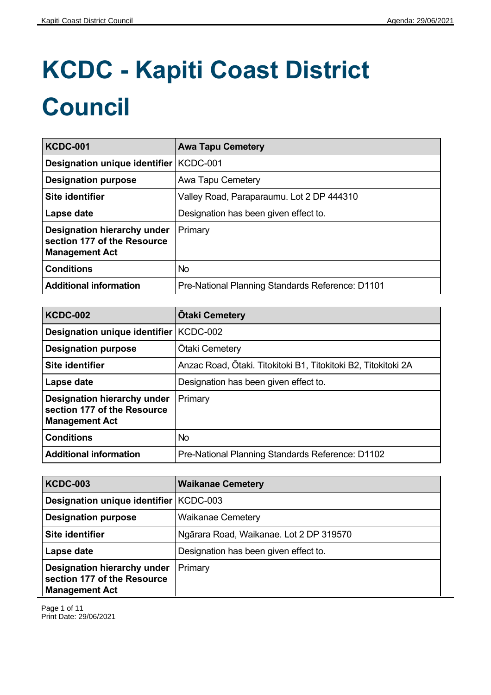## **KCDC - Kapiti Coast District Council**

| <b>KCDC-001</b>                                                                     | <b>Awa Tapu Cemetery</b>                         |
|-------------------------------------------------------------------------------------|--------------------------------------------------|
| Designation unique identifier   KCDC-001                                            |                                                  |
| <b>Designation purpose</b>                                                          | Awa Tapu Cemetery                                |
| Site identifier                                                                     | Valley Road, Paraparaumu. Lot 2 DP 444310        |
| Lapse date                                                                          | Designation has been given effect to.            |
| Designation hierarchy under<br>section 177 of the Resource<br><b>Management Act</b> | Primary                                          |
| <b>Conditions</b>                                                                   | <b>No</b>                                        |
| <b>Additional information</b>                                                       | Pre-National Planning Standards Reference: D1101 |

| <b>KCDC-002</b>                                                                     | <b>Otaki Cemetery</b>                                          |
|-------------------------------------------------------------------------------------|----------------------------------------------------------------|
| Designation unique identifier                                                       | KCDC-002                                                       |
| <b>Designation purpose</b>                                                          | <b>Otaki Cemetery</b>                                          |
| Site identifier                                                                     | Anzac Road, Ōtaki. Titokitoki B1, Titokitoki B2, Titokitoki 2A |
| Lapse date                                                                          | Designation has been given effect to.                          |
| Designation hierarchy under<br>section 177 of the Resource<br><b>Management Act</b> | Primary                                                        |
| <b>Conditions</b>                                                                   | No                                                             |
| <b>Additional information</b>                                                       | Pre-National Planning Standards Reference: D1102               |

| <b>KCDC-003</b>                                                                     | <b>Waikanae Cemetery</b>                |
|-------------------------------------------------------------------------------------|-----------------------------------------|
| Designation unique identifier   KCDC-003                                            |                                         |
| <b>Designation purpose</b>                                                          | <b>Waikanae Cemetery</b>                |
| Site identifier                                                                     | Ngārara Road, Waikanae. Lot 2 DP 319570 |
| Lapse date                                                                          | Designation has been given effect to.   |
| Designation hierarchy under<br>section 177 of the Resource<br><b>Management Act</b> | Primary                                 |

Page 1 of 11 Print Date: 29/06/2021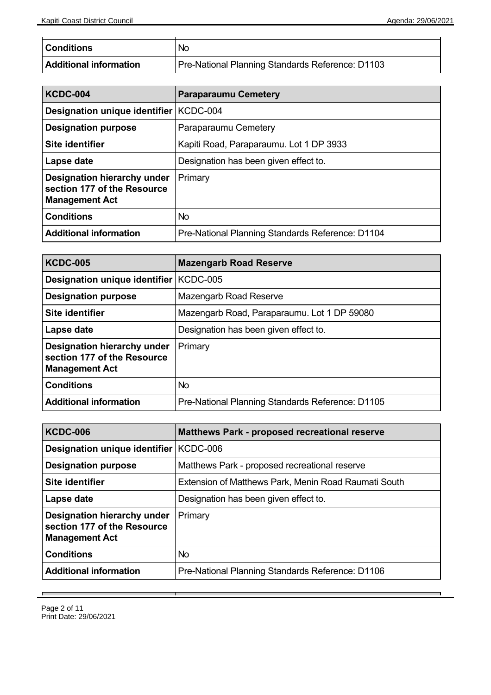Ť.

| <b>Conditions</b>      | No                                               |
|------------------------|--------------------------------------------------|
| Additional information | Pre-National Planning Standards Reference: D1103 |

| <b>KCDC-004</b>                                                                     | <b>Paraparaumu Cemetery</b>                      |
|-------------------------------------------------------------------------------------|--------------------------------------------------|
| Designation unique identifier                                                       | KCDC-004                                         |
| <b>Designation purpose</b>                                                          | Paraparaumu Cemetery                             |
| Site identifier                                                                     | Kapiti Road, Paraparaumu. Lot 1 DP 3933          |
| Lapse date                                                                          | Designation has been given effect to.            |
| Designation hierarchy under<br>section 177 of the Resource<br><b>Management Act</b> | Primary                                          |
| <b>Conditions</b>                                                                   | <b>No</b>                                        |
| <b>Additional information</b>                                                       | Pre-National Planning Standards Reference: D1104 |

| <b>KCDC-005</b>                                                                     | <b>Mazengarb Road Reserve</b>                    |
|-------------------------------------------------------------------------------------|--------------------------------------------------|
| Designation unique identifier   KCDC-005                                            |                                                  |
| <b>Designation purpose</b>                                                          | Mazengarb Road Reserve                           |
| Site identifier                                                                     | Mazengarb Road, Paraparaumu. Lot 1 DP 59080      |
| Lapse date                                                                          | Designation has been given effect to.            |
| Designation hierarchy under<br>section 177 of the Resource<br><b>Management Act</b> | Primary                                          |
| <b>Conditions</b>                                                                   | <b>No</b>                                        |
| <b>Additional information</b>                                                       | Pre-National Planning Standards Reference: D1105 |

| <b>KCDC-006</b>                                                                     | <b>Matthews Park - proposed recreational reserve</b> |
|-------------------------------------------------------------------------------------|------------------------------------------------------|
| Designation unique identifier   KCDC-006                                            |                                                      |
| <b>Designation purpose</b>                                                          | Matthews Park - proposed recreational reserve        |
| Site identifier                                                                     | Extension of Matthews Park, Menin Road Raumati South |
| Lapse date                                                                          | Designation has been given effect to.                |
| Designation hierarchy under<br>section 177 of the Resource<br><b>Management Act</b> | Primary                                              |
| <b>Conditions</b>                                                                   | No.                                                  |
| <b>Additional information</b>                                                       | Pre-National Planning Standards Reference: D1106     |

┯

 $\overline{ }$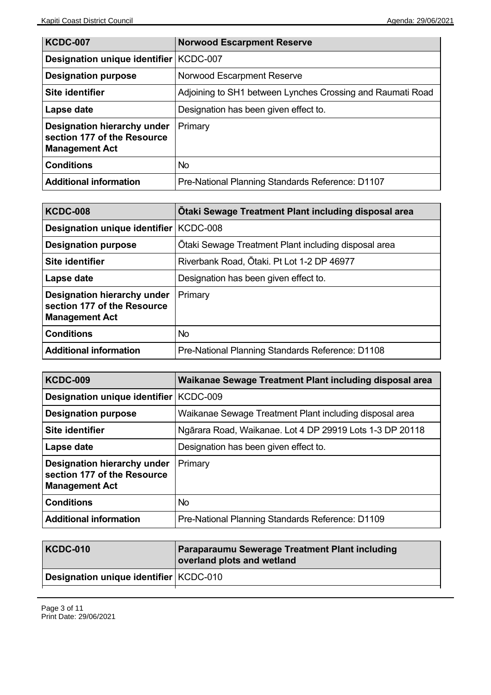| <b>KCDC-007</b>                                                                     | <b>Norwood Escarpment Reserve</b>                          |
|-------------------------------------------------------------------------------------|------------------------------------------------------------|
| Designation unique identifier   KCDC-007                                            |                                                            |
| <b>Designation purpose</b>                                                          | Norwood Escarpment Reserve                                 |
| Site identifier                                                                     | Adjoining to SH1 between Lynches Crossing and Raumati Road |
| Lapse date                                                                          | Designation has been given effect to.                      |
| Designation hierarchy under<br>section 177 of the Resource<br><b>Management Act</b> | Primary                                                    |
| <b>Conditions</b>                                                                   | No.                                                        |
| <b>Additional information</b>                                                       | Pre-National Planning Standards Reference: D1107           |

| <b>KCDC-008</b>                                                                     | Otaki Sewage Treatment Plant including disposal area |
|-------------------------------------------------------------------------------------|------------------------------------------------------|
| Designation unique identifier   KCDC-008                                            |                                                      |
| <b>Designation purpose</b>                                                          | Otaki Sewage Treatment Plant including disposal area |
| Site identifier                                                                     | Riverbank Road, Otaki. Pt Lot 1-2 DP 46977           |
| Lapse date                                                                          | Designation has been given effect to.                |
| Designation hierarchy under<br>section 177 of the Resource<br><b>Management Act</b> | Primary                                              |
| <b>Conditions</b>                                                                   | No.                                                  |
| <b>Additional information</b>                                                       | Pre-National Planning Standards Reference: D1108     |

| <b>KCDC-009</b>                                                                     | Waikanae Sewage Treatment Plant including disposal area  |
|-------------------------------------------------------------------------------------|----------------------------------------------------------|
| Designation unique identifier                                                       | KCDC-009                                                 |
| <b>Designation purpose</b>                                                          | Waikanae Sewage Treatment Plant including disposal area  |
| Site identifier                                                                     | Ngārara Road, Waikanae. Lot 4 DP 29919 Lots 1-3 DP 20118 |
| Lapse date                                                                          | Designation has been given effect to.                    |
| Designation hierarchy under<br>section 177 of the Resource<br><b>Management Act</b> | Primary                                                  |
| <b>Conditions</b>                                                                   | No.                                                      |
| <b>Additional information</b>                                                       | Pre-National Planning Standards Reference: D1109         |

| <b>KCDC-010</b>                          | <b>Paraparaumu Sewerage Treatment Plant including</b><br>overland plots and wetland |
|------------------------------------------|-------------------------------------------------------------------------------------|
| Designation unique identifier   KCDC-010 |                                                                                     |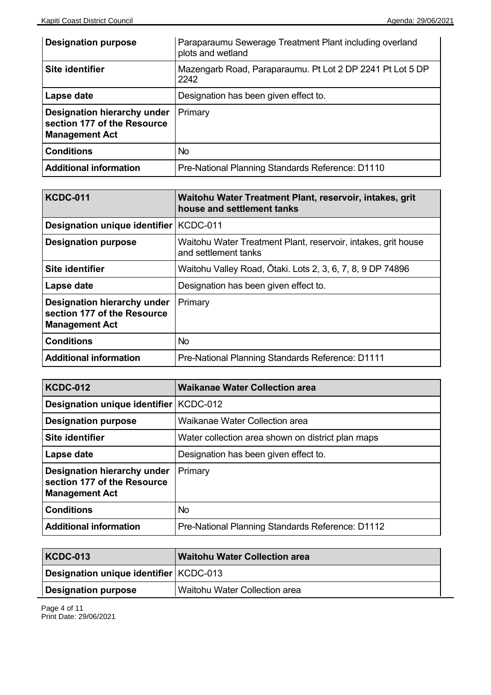| <b>Designation purpose</b>                                                          | Paraparaumu Sewerage Treatment Plant including overland<br>plots and wetland |
|-------------------------------------------------------------------------------------|------------------------------------------------------------------------------|
| Site identifier                                                                     | Mazengarb Road, Paraparaumu. Pt Lot 2 DP 2241 Pt Lot 5 DP<br>2242            |
| Lapse date                                                                          | Designation has been given effect to.                                        |
| Designation hierarchy under<br>section 177 of the Resource<br><b>Management Act</b> | Primary                                                                      |
| <b>Conditions</b>                                                                   | <b>No</b>                                                                    |
| <b>Additional information</b>                                                       | Pre-National Planning Standards Reference: D1110                             |

| <b>KCDC-011</b>                                                                     | Waitohu Water Treatment Plant, reservoir, intakes, grit<br>house and settlement tanks |
|-------------------------------------------------------------------------------------|---------------------------------------------------------------------------------------|
| Designation unique identifier   KCDC-011                                            |                                                                                       |
| <b>Designation purpose</b>                                                          | Waitohu Water Treatment Plant, reservoir, intakes, grit house<br>and settlement tanks |
| Site identifier                                                                     | Waitohu Valley Road, Ōtaki. Lots 2, 3, 6, 7, 8, 9 DP 74896                            |
| Lapse date                                                                          | Designation has been given effect to.                                                 |
| Designation hierarchy under<br>section 177 of the Resource<br><b>Management Act</b> | Primary                                                                               |
| <b>Conditions</b>                                                                   | <b>No</b>                                                                             |
| <b>Additional information</b>                                                       | Pre-National Planning Standards Reference: D1111                                      |

| <b>KCDC-012</b>                                                                     | <b>Waikanae Water Collection area</b>             |
|-------------------------------------------------------------------------------------|---------------------------------------------------|
| Designation unique identifier   KCDC-012                                            |                                                   |
| <b>Designation purpose</b>                                                          | Waikanae Water Collection area                    |
| Site identifier                                                                     | Water collection area shown on district plan maps |
| Lapse date                                                                          | Designation has been given effect to.             |
| Designation hierarchy under<br>section 177 of the Resource<br><b>Management Act</b> | Primary                                           |
| <b>Conditions</b>                                                                   | No.                                               |
| <b>Additional information</b>                                                       | Pre-National Planning Standards Reference: D1112  |

| <b>KCDC-013</b>                          | <b>Waitohu Water Collection area</b> |
|------------------------------------------|--------------------------------------|
| Designation unique identifier   KCDC-013 |                                      |
| <b>Designation purpose</b>               | Waitohu Water Collection area        |

Page 4 of 11 Print Date: 29/06/2021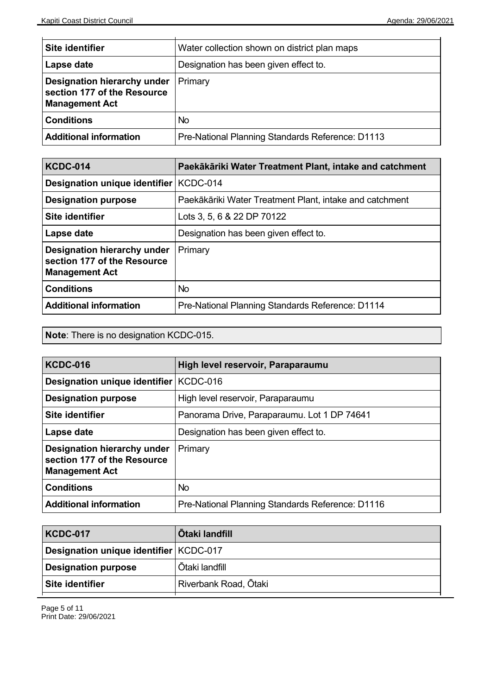| Site identifier                                                                     | Water collection shown on district plan maps     |
|-------------------------------------------------------------------------------------|--------------------------------------------------|
| Lapse date                                                                          | Designation has been given effect to.            |
| Designation hierarchy under<br>section 177 of the Resource<br><b>Management Act</b> | Primary                                          |
| <b>Conditions</b>                                                                   | <b>No</b>                                        |
| Additional information                                                              | Pre-National Planning Standards Reference: D1113 |

| <b>KCDC-014</b>                                                                     | Paekākāriki Water Treatment Plant, intake and catchment |
|-------------------------------------------------------------------------------------|---------------------------------------------------------|
| Designation unique identifier   KCDC-014                                            |                                                         |
| <b>Designation purpose</b>                                                          | Paekākāriki Water Treatment Plant, intake and catchment |
| Site identifier                                                                     | Lots 3, 5, 6 & 22 DP 70122                              |
| Lapse date                                                                          | Designation has been given effect to.                   |
| Designation hierarchy under<br>section 177 of the Resource<br><b>Management Act</b> | Primary                                                 |
| <b>Conditions</b>                                                                   | No.                                                     |
| <b>Additional information</b>                                                       | Pre-National Planning Standards Reference: D1114        |

**Note**: There is no designation KCDC-015.

| <b>KCDC-016</b>                                                                     | High level reservoir, Paraparaumu                |
|-------------------------------------------------------------------------------------|--------------------------------------------------|
| Designation unique identifier   KCDC-016                                            |                                                  |
| <b>Designation purpose</b>                                                          | High level reservoir, Paraparaumu                |
| Site identifier                                                                     | Panorama Drive, Paraparaumu. Lot 1 DP 74641      |
| Lapse date                                                                          | Designation has been given effect to.            |
| Designation hierarchy under<br>section 177 of the Resource<br><b>Management Act</b> | Primary                                          |
| <b>Conditions</b>                                                                   | No.                                              |
| <b>Additional information</b>                                                       | Pre-National Planning Standards Reference: D1116 |

| <b>KCDC-017</b>                          | <b>Otaki landfill</b> |
|------------------------------------------|-----------------------|
| Designation unique identifier   KCDC-017 |                       |
| <b>Designation purpose</b>               | <b>Otaki landfill</b> |
| Site identifier                          | Riverbank Road, Ōtaki |
|                                          |                       |

Page 5 of 11 Print Date: 29/06/2021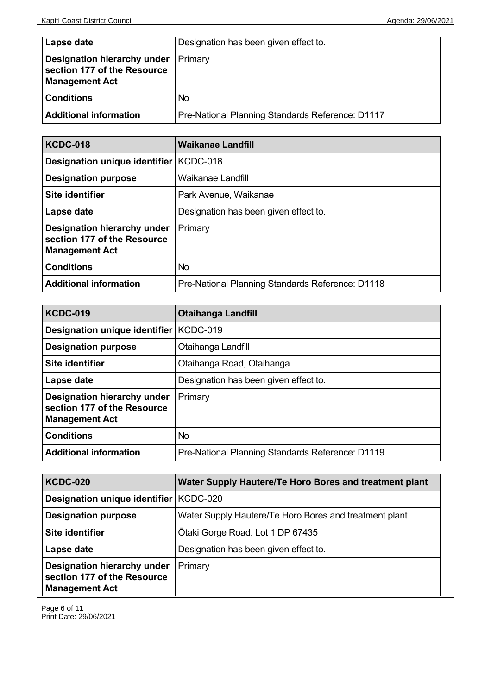| Lapse date                                                                          | Designation has been given effect to.            |
|-------------------------------------------------------------------------------------|--------------------------------------------------|
| Designation hierarchy under<br>section 177 of the Resource<br><b>Management Act</b> | <b>Primary</b>                                   |
| <b>Conditions</b>                                                                   | No.                                              |
| Additional information                                                              | Pre-National Planning Standards Reference: D1117 |

| <b>KCDC-018</b>                                                                     | <b>Waikanae Landfill</b>                         |
|-------------------------------------------------------------------------------------|--------------------------------------------------|
| Designation unique identifier                                                       | KCDC-018                                         |
| <b>Designation purpose</b>                                                          | Waikanae Landfill                                |
| Site identifier                                                                     | Park Avenue, Waikanae                            |
| Lapse date                                                                          | Designation has been given effect to.            |
| Designation hierarchy under<br>section 177 of the Resource<br><b>Management Act</b> | Primary                                          |
| <b>Conditions</b>                                                                   | <b>No</b>                                        |
| <b>Additional information</b>                                                       | Pre-National Planning Standards Reference: D1118 |

| <b>KCDC-019</b>                                                                     | <b>Otaihanga Landfill</b>                        |
|-------------------------------------------------------------------------------------|--------------------------------------------------|
| Designation unique identifier   KCDC-019                                            |                                                  |
| <b>Designation purpose</b>                                                          | Otaihanga Landfill                               |
| Site identifier                                                                     | Otaihanga Road, Otaihanga                        |
| Lapse date                                                                          | Designation has been given effect to.            |
| Designation hierarchy under<br>section 177 of the Resource<br><b>Management Act</b> | Primary                                          |
| <b>Conditions</b>                                                                   | <b>No</b>                                        |
| <b>Additional information</b>                                                       | Pre-National Planning Standards Reference: D1119 |

| <b>KCDC-020</b>                                                                     | Water Supply Hautere/Te Horo Bores and treatment plant |
|-------------------------------------------------------------------------------------|--------------------------------------------------------|
| Designation unique identifier   KCDC-020                                            |                                                        |
| <b>Designation purpose</b>                                                          | Water Supply Hautere/Te Horo Bores and treatment plant |
| <b>Site identifier</b>                                                              | Otaki Gorge Road. Lot 1 DP 67435                       |
| Lapse date                                                                          | Designation has been given effect to.                  |
| Designation hierarchy under<br>section 177 of the Resource<br><b>Management Act</b> | Primary                                                |

Page 6 of 11 Print Date: 29/06/2021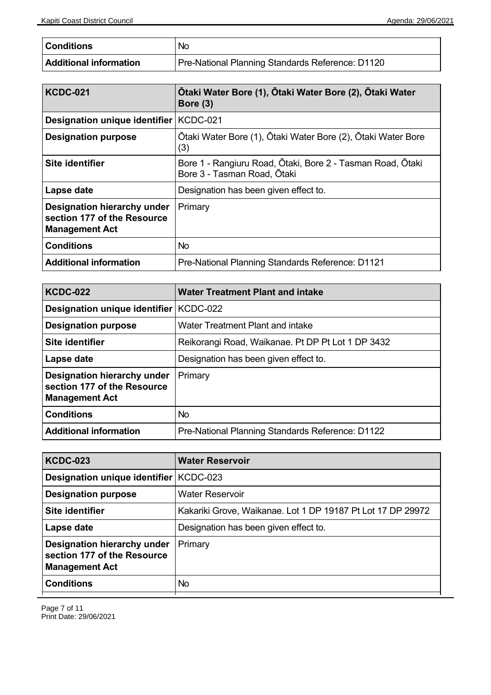| <b>Conditions</b>      | No                                               |
|------------------------|--------------------------------------------------|
| Additional information | Pre-National Planning Standards Reference: D1120 |

| <b>KCDC-021</b>                                                                     | Ōtaki Water Bore (1), Ōtaki Water Bore (2), Ōtaki Water<br>Bore (3)                       |
|-------------------------------------------------------------------------------------|-------------------------------------------------------------------------------------------|
| Designation unique identifier                                                       | KCDC-021                                                                                  |
| <b>Designation purpose</b>                                                          | Ōtaki Water Bore (1), Ōtaki Water Bore (2), Ōtaki Water Bore<br>(3)                       |
| Site identifier                                                                     | Bore 1 - Rangiuru Road, Ōtaki, Bore 2 - Tasman Road, Ōtaki<br>Bore 3 - Tasman Road, Ōtaki |
| Lapse date                                                                          | Designation has been given effect to.                                                     |
| Designation hierarchy under<br>section 177 of the Resource<br><b>Management Act</b> | Primary                                                                                   |
| <b>Conditions</b>                                                                   | <b>No</b>                                                                                 |
| <b>Additional information</b>                                                       | Pre-National Planning Standards Reference: D1121                                          |

| <b>KCDC-022</b>                                                                     | <b>Water Treatment Plant and intake</b>           |
|-------------------------------------------------------------------------------------|---------------------------------------------------|
| Designation unique identifier                                                       | <b>KCDC-022</b>                                   |
| <b>Designation purpose</b>                                                          | Water Treatment Plant and intake                  |
| Site identifier                                                                     | Reikorangi Road, Waikanae. Pt DP Pt Lot 1 DP 3432 |
| Lapse date                                                                          | Designation has been given effect to.             |
| Designation hierarchy under<br>section 177 of the Resource<br><b>Management Act</b> | Primary                                           |
| <b>Conditions</b>                                                                   | No                                                |
| <b>Additional information</b>                                                       | Pre-National Planning Standards Reference: D1122  |

| <b>KCDC-023</b>                                                                     | <b>Water Reservoir</b>                                      |
|-------------------------------------------------------------------------------------|-------------------------------------------------------------|
| Designation unique identifier   KCDC-023                                            |                                                             |
| <b>Designation purpose</b>                                                          | <b>Water Reservoir</b>                                      |
| Site identifier                                                                     | Kakariki Grove, Waikanae. Lot 1 DP 19187 Pt Lot 17 DP 29972 |
| Lapse date                                                                          | Designation has been given effect to.                       |
| Designation hierarchy under<br>section 177 of the Resource<br><b>Management Act</b> | Primary                                                     |
| <b>Conditions</b>                                                                   | No                                                          |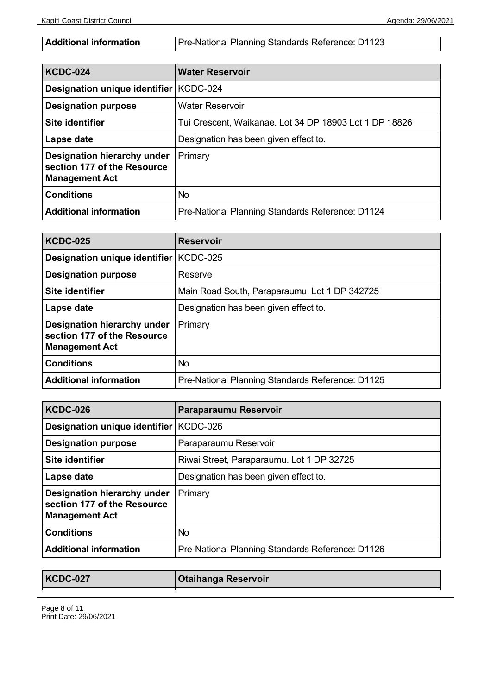Additional information | Pre-National Planning Standards Reference: D1123

| <b>KCDC-024</b>                                                                     | <b>Water Reservoir</b>                                  |
|-------------------------------------------------------------------------------------|---------------------------------------------------------|
| Designation unique identifier   KCDC-024                                            |                                                         |
| <b>Designation purpose</b>                                                          | <b>Water Reservoir</b>                                  |
| Site identifier                                                                     | Tui Crescent, Waikanae. Lot 34 DP 18903 Lot 1 DP 18826  |
| Lapse date                                                                          | Designation has been given effect to.                   |
| Designation hierarchy under<br>section 177 of the Resource<br><b>Management Act</b> | Primary                                                 |
| <b>Conditions</b>                                                                   | No.                                                     |
| <b>Additional information</b>                                                       | <b>Pre-National Planning Standards Reference: D1124</b> |

| <b>KCDC-025</b>                                                                     | <b>Reservoir</b>                                 |
|-------------------------------------------------------------------------------------|--------------------------------------------------|
| Designation unique identifier                                                       | <b>KCDC-025</b>                                  |
| <b>Designation purpose</b>                                                          | Reserve                                          |
| Site identifier                                                                     | Main Road South, Paraparaumu. Lot 1 DP 342725    |
| Lapse date                                                                          | Designation has been given effect to.            |
| Designation hierarchy under<br>section 177 of the Resource<br><b>Management Act</b> | Primary                                          |
| <b>Conditions</b>                                                                   | No                                               |
| <b>Additional information</b>                                                       | Pre-National Planning Standards Reference: D1125 |

| <b>KCDC-026</b>                                                                     | Paraparaumu Reservoir                            |
|-------------------------------------------------------------------------------------|--------------------------------------------------|
| Designation unique identifier   KCDC-026                                            |                                                  |
| <b>Designation purpose</b>                                                          | Paraparaumu Reservoir                            |
| Site identifier                                                                     | Riwai Street, Paraparaumu. Lot 1 DP 32725        |
| Lapse date                                                                          | Designation has been given effect to.            |
| Designation hierarchy under<br>section 177 of the Resource<br><b>Management Act</b> | Primary                                          |
| <b>Conditions</b>                                                                   | <b>No</b>                                        |
| <b>Additional information</b>                                                       | Pre-National Planning Standards Reference: D1126 |

| <b>KCDC-027</b> | <b>Otaihanga Reservoir</b> |
|-----------------|----------------------------|
|                 |                            |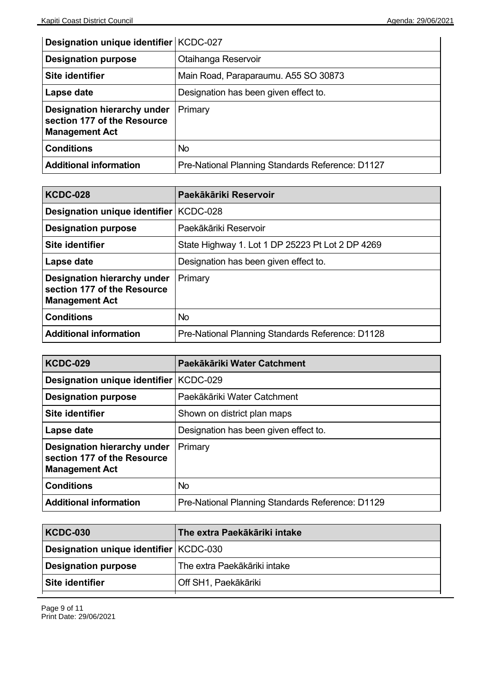| Designation unique identifier   KCDC-027                                            |                                                  |
|-------------------------------------------------------------------------------------|--------------------------------------------------|
| <b>Designation purpose</b>                                                          | Otaihanga Reservoir                              |
| Site identifier                                                                     | Main Road, Paraparaumu. A55 SO 30873             |
| Lapse date                                                                          | Designation has been given effect to.            |
| Designation hierarchy under<br>section 177 of the Resource<br><b>Management Act</b> | Primary                                          |
| <b>Conditions</b>                                                                   | No                                               |
| <b>Additional information</b>                                                       | Pre-National Planning Standards Reference: D1127 |

| <b>KCDC-028</b>                                                                     | Paekākāriki Reservoir                            |
|-------------------------------------------------------------------------------------|--------------------------------------------------|
| Designation unique identifier                                                       | KCDC-028                                         |
| <b>Designation purpose</b>                                                          | Paekākāriki Reservoir                            |
| Site identifier                                                                     | State Highway 1. Lot 1 DP 25223 Pt Lot 2 DP 4269 |
| Lapse date                                                                          | Designation has been given effect to.            |
| Designation hierarchy under<br>section 177 of the Resource<br><b>Management Act</b> | Primary                                          |
| <b>Conditions</b>                                                                   | No.                                              |
| <b>Additional information</b>                                                       | Pre-National Planning Standards Reference: D1128 |

| <b>KCDC-029</b>                                                                     | Paekākāriki Water Catchment                      |
|-------------------------------------------------------------------------------------|--------------------------------------------------|
| Designation unique identifier   KCDC-029                                            |                                                  |
| <b>Designation purpose</b>                                                          | Paekākāriki Water Catchment                      |
| Site identifier                                                                     | Shown on district plan maps                      |
| Lapse date                                                                          | Designation has been given effect to.            |
| Designation hierarchy under<br>section 177 of the Resource<br><b>Management Act</b> | Primary                                          |
| <b>Conditions</b>                                                                   | <b>No</b>                                        |
| <b>Additional information</b>                                                       | Pre-National Planning Standards Reference: D1129 |

| <b>KCDC-030</b>                          | <b>The extra Paekākāriki intake</b> |
|------------------------------------------|-------------------------------------|
| Designation unique identifier   KCDC-030 |                                     |
| <b>Designation purpose</b>               | The extra Paekākāriki intake        |
| Site identifier                          | Off SH1, Paekākāriki                |
|                                          |                                     |

Page 9 of 11 Print Date: 29/06/2021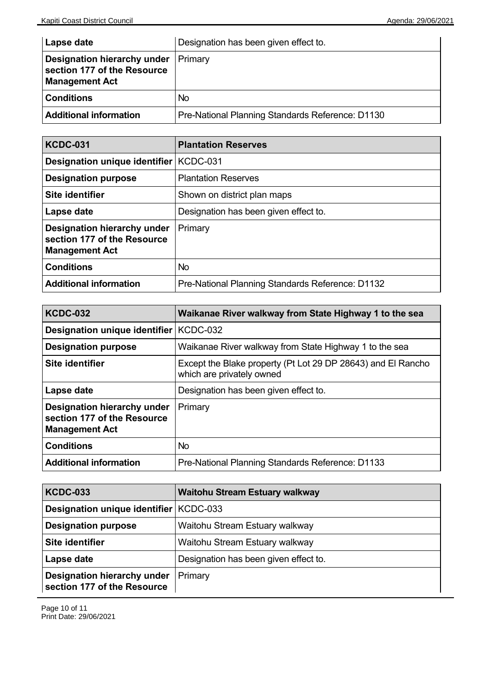| <b>Lapse date</b>                                                                   | Designation has been given effect to.            |
|-------------------------------------------------------------------------------------|--------------------------------------------------|
| Designation hierarchy under<br>section 177 of the Resource<br><b>Management Act</b> | Primary                                          |
| <b>Conditions</b>                                                                   | No.                                              |
| <b>Additional information</b>                                                       | Pre-National Planning Standards Reference: D1130 |

| <b>KCDC-031</b>                                                                     | <b>Plantation Reserves</b>                       |
|-------------------------------------------------------------------------------------|--------------------------------------------------|
| Designation unique identifier   KCDC-031                                            |                                                  |
| <b>Designation purpose</b>                                                          | <b>Plantation Reserves</b>                       |
| Site identifier                                                                     | Shown on district plan maps                      |
| Lapse date                                                                          | Designation has been given effect to.            |
| Designation hierarchy under<br>section 177 of the Resource<br><b>Management Act</b> | Primary                                          |
| <b>Conditions</b>                                                                   | <b>No</b>                                        |
| <b>Additional information</b>                                                       | Pre-National Planning Standards Reference: D1132 |

| <b>KCDC-032</b>                                                                     | Waikanae River walkway from State Highway 1 to the sea                                    |
|-------------------------------------------------------------------------------------|-------------------------------------------------------------------------------------------|
| Designation unique identifier   KCDC-032                                            |                                                                                           |
| <b>Designation purpose</b>                                                          | Waikanae River walkway from State Highway 1 to the sea                                    |
| Site identifier                                                                     | Except the Blake property (Pt Lot 29 DP 28643) and El Rancho<br>which are privately owned |
| Lapse date                                                                          | Designation has been given effect to.                                                     |
| Designation hierarchy under<br>section 177 of the Resource<br><b>Management Act</b> | Primary                                                                                   |
| <b>Conditions</b>                                                                   | No.                                                                                       |
| <b>Additional information</b>                                                       | Pre-National Planning Standards Reference: D1133                                          |

| <b>KCDC-033</b>                                            | <b>Waitohu Stream Estuary walkway</b> |
|------------------------------------------------------------|---------------------------------------|
| Designation unique identifier   KCDC-033                   |                                       |
| <b>Designation purpose</b>                                 | Waitohu Stream Estuary walkway        |
| <b>Site identifier</b>                                     | Waitohu Stream Estuary walkway        |
| Lapse date                                                 | Designation has been given effect to. |
| Designation hierarchy under<br>section 177 of the Resource | Primary                               |